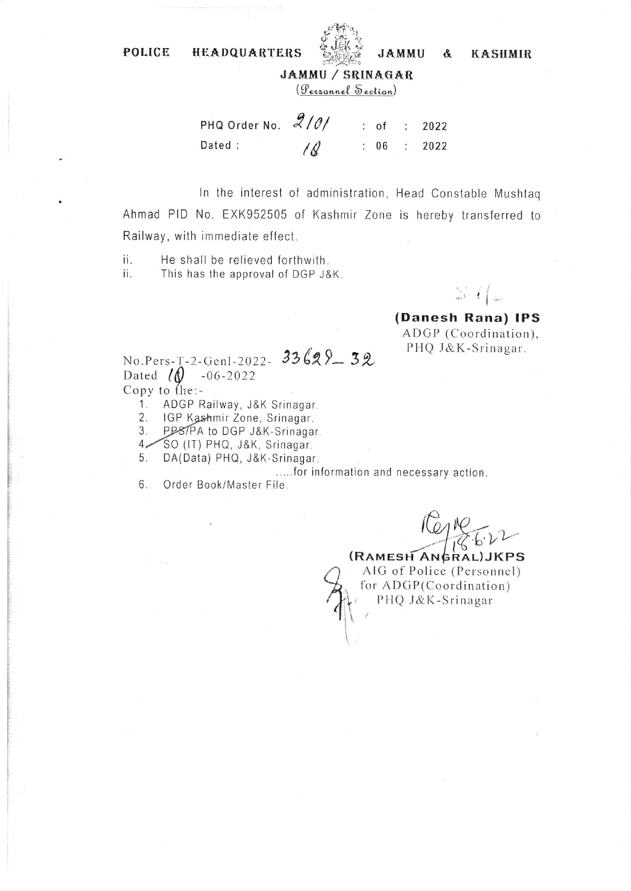POLICE **HEADQUARTERS** 



**KASHMIR** &

**JAMMU** 

(Personnel Section)

PHQ Order No. 2101 2022 : of  $\ddot{\cdot}$ Dated :  $\ell$  $: 06$ 2022  $\ddot{\phantom{a}}$ 

In the interest of administration, Head Constable Mushtag Ahmad PID No. EXK952505 of Kashmir Zone is hereby transferred to Railway, with immediate effect.

ii. He shall be relieved forthwith. This has the approval of DGP J&K. ii.

 $\sum_{i=1}^{n}$ 

(Danesh Rana) IPS ADGP (Coordination), PHQ J&K-Srinagar.

No.Pers-T-2-Genl-2022- 33629-32 Dated  $\sqrt{\theta}$  -06-2022 Copy to the:-

1. ADGP Railway, J&K Srinagar.

IGP Kashmir Zone, Srinagar. 2.

PP87PA to DGP J&K-Srinagar.  $3.$ 

SO (IT) PHQ, J&K, Srinagar.  $4-$ 

5. DA(Data) PHQ, J&K-Srinagar.

.....for information and necessary action.

6. Order Book/Master File.

(RAMESH ANGRAL) JKPS AIG of Police (Personnel) for ADGP(Coordination) PHQ J&K-Srinagar